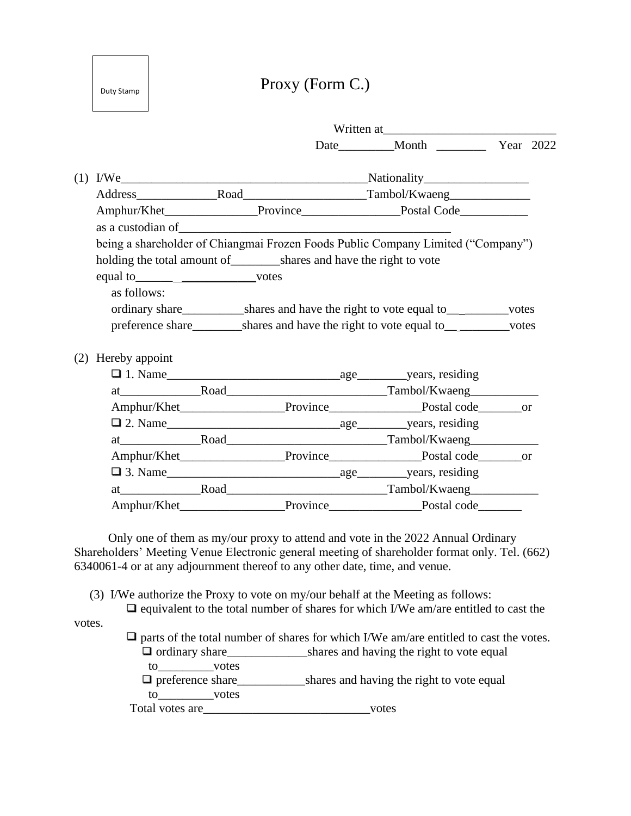Baht 20

# Proxy (Form C.)

|                                         |  |  | Date__________Month _____________ Year 2022                                                             |  |
|-----------------------------------------|--|--|---------------------------------------------------------------------------------------------------------|--|
| (1)                                     |  |  |                                                                                                         |  |
|                                         |  |  |                                                                                                         |  |
|                                         |  |  |                                                                                                         |  |
|                                         |  |  |                                                                                                         |  |
|                                         |  |  | being a shareholder of Chiangmai Frozen Foods Public Company Limited ("Company")                        |  |
|                                         |  |  |                                                                                                         |  |
| equal to__________________________votes |  |  |                                                                                                         |  |
| as follows:                             |  |  |                                                                                                         |  |
|                                         |  |  | ordinary share<br><u>___________</u> ___shares and have the right to vote equal to<br>____________votes |  |
|                                         |  |  | preference share____________shares and have the right to vote equal to____________votes                 |  |
| Hereby appoint<br>(2)                   |  |  |                                                                                                         |  |
|                                         |  |  |                                                                                                         |  |
|                                         |  |  |                                                                                                         |  |
|                                         |  |  | Amphur/Khet________________________Province______________________Postal code_________or                 |  |
|                                         |  |  |                                                                                                         |  |
|                                         |  |  |                                                                                                         |  |
|                                         |  |  | Amphur/Khet_______________________Province_____________________Postal code________or                    |  |
|                                         |  |  |                                                                                                         |  |
|                                         |  |  |                                                                                                         |  |
|                                         |  |  | Amphur/Khet________________________Province_______________________Postal code__________                 |  |

 Only one of them as my/our proxy to attend and vote in the 2022 Annual Ordinary Shareholders' Meeting Venue Electronic general meeting of shareholder format only. Tel. (662) 6340061-4 or at any adjournment thereof to any other date, time, and venue.

(3) I/We authorize the Proxy to vote on my/our behalf at the Meeting as follows:

 $\Box$  equivalent to the total number of shares for which I/We am/are entitled to cast the votes.

 $\Box$  parts of the total number of shares for which I/We am/are entitled to cast the votes.  $\Box$  ordinary share shares and having the right to vote equal to votes preference share\_\_\_\_\_\_\_\_\_\_\_shares and having the right to vote equal to\_\_\_\_\_\_\_\_\_votes

Total votes are\_\_\_\_\_\_\_\_\_\_\_\_\_\_\_\_\_\_\_\_\_\_\_\_\_\_\_votes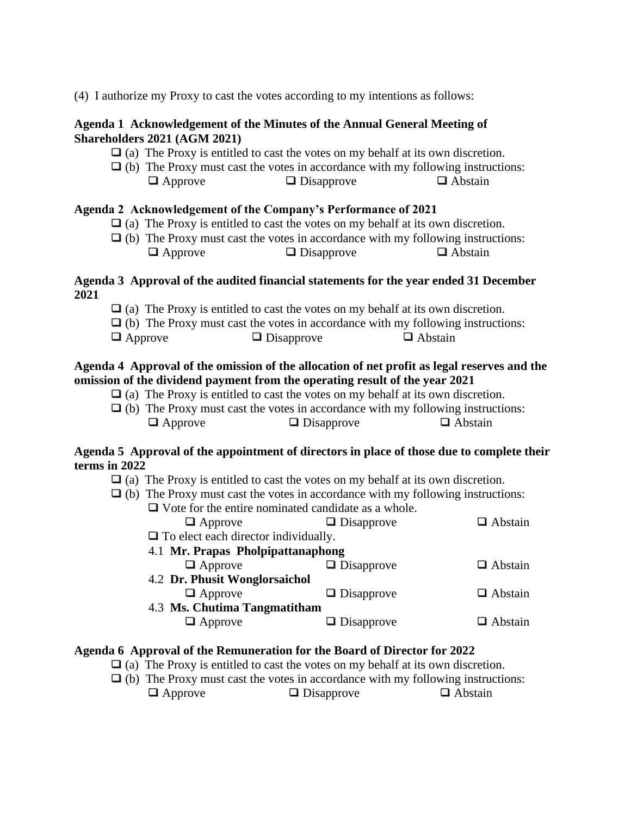(4) I authorize my Proxy to cast the votes according to my intentions as follows:

#### **Agenda 1 Acknowledgement of the Minutes of the Annual General Meeting of Shareholders 2021 (AGM 2021)**

- $\Box$  (a) The Proxy is entitled to cast the votes on my behalf at its own discretion.
- $\Box$  (b) The Proxy must cast the votes in accordance with my following instructions:  $\Box$  Approve  $\Box$  Disapprove  $\Box$  Abstain

#### **Agenda 2 Acknowledgement of the Company's Performance of 2021**

- $\Box$  (a) The Proxy is entitled to cast the votes on my behalf at its own discretion.
- $\Box$  (b) The Proxy must cast the votes in accordance with my following instructions:  $\Box$  Approve  $\Box$  Disapprove  $\Box$  Abstain

#### **Agenda 3 Approval of the audited financial statements for the year ended 31 December 2021**

- $\Box$  (a) The Proxy is entitled to cast the votes on my behalf at its own discretion.
- $\Box$  (b) The Proxy must cast the votes in accordance with my following instructions:
- $\Box$  Approve  $\Box$  Disapprove  $\Box$  Abstain

#### **Agenda 4 Approval of the omission of the allocation of net profit as legal reserves and the omission of the dividend payment from the operating result of the year 2021**

- $\Box$  (a) The Proxy is entitled to cast the votes on my behalf at its own discretion.
- $\Box$  (b) The Proxy must cast the votes in accordance with my following instructions:  $\Box$  Approve  $\Box$  Disapprove  $\Box$  Abstain

#### **Agenda 5 Approval of the appointment of directors in place of those due to complete their terms in 2022**

- $\Box$  (a) The Proxy is entitled to cast the votes on my behalf at its own discretion.
- $\Box$  (b) The Proxy must cast the votes in accordance with my following instructions:

| $\Box$ Vote for the entire nominated candidate as a whole. |                   |                |  |  |
|------------------------------------------------------------|-------------------|----------------|--|--|
| $\Box$ Approve                                             | $\Box$ Disapprove | $\Box$ Abstain |  |  |
| $\Box$ To elect each director individually.                |                   |                |  |  |
| 4.1 Mr. Prapas Pholpipattanaphong                          |                   |                |  |  |
| $\Box$ Approve                                             | $\Box$ Disapprove | $\Box$ Abstain |  |  |
| 4.2 Dr. Phusit Wonglorsaichol                              |                   |                |  |  |
| $\Box$ Approve                                             | $\Box$ Disapprove | $\Box$ Abstain |  |  |
| 4.3 Ms. Chutima Tangmatitham                               |                   |                |  |  |
| $\Box$ Approve                                             | $\Box$ Disapprove | $\Box$ Abstain |  |  |
|                                                            |                   |                |  |  |

#### **Agenda 6 Approval of the Remuneration for the Board of Director for 2022**

- $\Box$  (a) The Proxy is entitled to cast the votes on my behalf at its own discretion.
- $\Box$  (b) The Proxy must cast the votes in accordance with my following instructions:  $\Box$  Approve  $\Box$  Disapprove  $\Box$  Abstain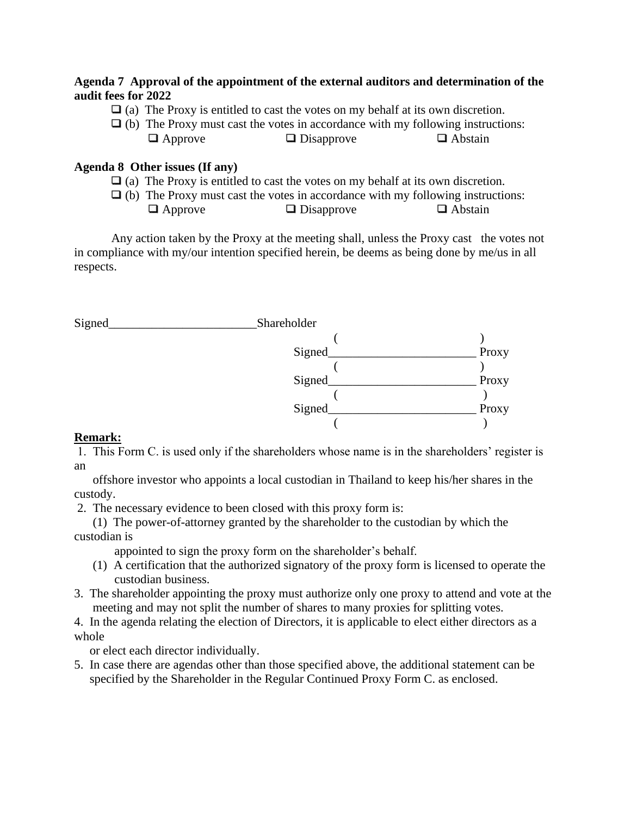#### **Agenda 7 Approval of the appointment of the external auditors and determination of the audit fees for 2022**

- $\Box$  (a) The Proxy is entitled to cast the votes on my behalf at its own discretion.
- $\Box$  (b) The Proxy must cast the votes in accordance with my following instructions:  $\Box$  Approve  $\Box$  Disapprove  $\Box$  Abstain

### **Agenda 8 Other issues (If any)**

- $\Box$  (a) The Proxy is entitled to cast the votes on my behalf at its own discretion.
- $\Box$  (b) The Proxy must cast the votes in accordance with my following instructions:

| $\Box$ Approve | $\Box$ Disapprove | $\Box$ Abstain |
|----------------|-------------------|----------------|
|----------------|-------------------|----------------|

 Any action taken by the Proxy at the meeting shall, unless the Proxy cast the votes not in compliance with my/our intention specified herein, be deems as being done by me/us in all respects.

Signed Shareholder



## **Remark:**

1. This Form C. is used only if the shareholders whose name is in the shareholders' register is an

 offshore investor who appoints a local custodian in Thailand to keep his/her shares in the custody.

2. The necessary evidence to been closed with this proxy form is:

 (1) The power-of-attorney granted by the shareholder to the custodian by which the custodian is

appointed to sign the proxy form on the shareholder's behalf.

- (1) A certification that the authorized signatory of the proxy form is licensed to operate the custodian business.
- 3. The shareholder appointing the proxy must authorize only one proxy to attend and vote at the meeting and may not split the number of shares to many proxies for splitting votes.
- 4. In the agenda relating the election of Directors, it is applicable to elect either directors as a whole

or elect each director individually.

5. In case there are agendas other than those specified above, the additional statement can be specified by the Shareholder in the Regular Continued Proxy Form C. as enclosed.